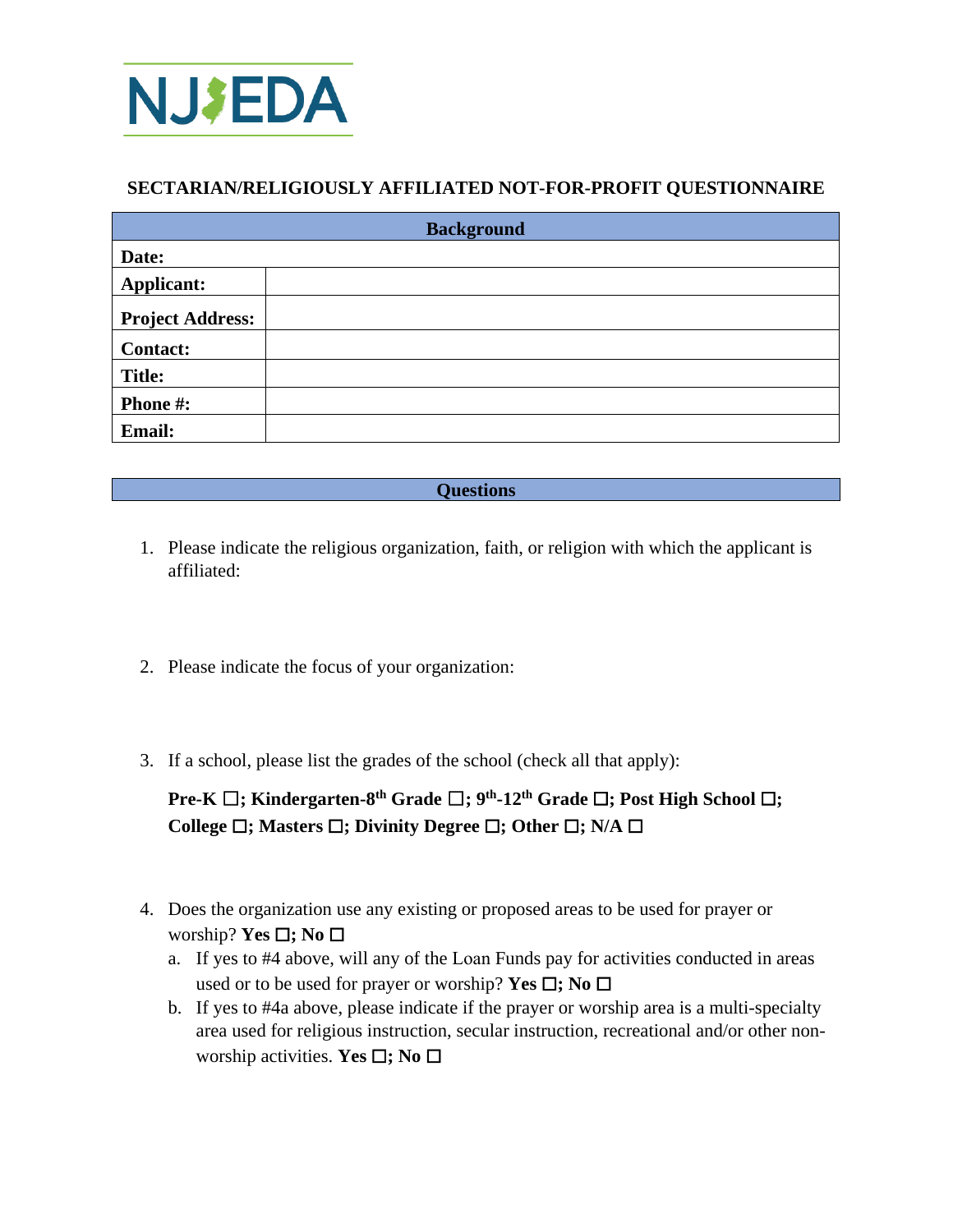

# **SECTARIAN/RELIGIOUSLY AFFILIATED NOT-FOR-PROFIT QUESTIONNAIRE**

| <b>Background</b>       |  |
|-------------------------|--|
| Date:                   |  |
| <b>Applicant:</b>       |  |
| <b>Project Address:</b> |  |
| <b>Contact:</b>         |  |
| <b>Title:</b>           |  |
| Phone #:                |  |
| <b>Email:</b>           |  |

### **Questions**

- 1. Please indicate the religious organization, faith, or religion with which the applicant is affiliated:
- 2. Please indicate the focus of your organization:
- 3. If a school, please list the grades of the school (check all that apply):

**Pre-K** ☐**; Kindergarten-8th Grade** ☐**; 9th-12th Grade** ☐**; Post High School** ☐**; College** ☐**; Masters** ☐**; Divinity Degree** ☐**; Other** ☐**; N/A** ☐

- 4. Does the organization use any existing or proposed areas to be used for prayer or worship? **Yes** ☐**; No** ☐
	- a. If yes to #4 above, will any of the Loan Funds pay for activities conducted in areas used or to be used for prayer or worship? **Yes** ☐**; No** ☐
	- b. If yes to #4a above, please indicate if the prayer or worship area is a multi-specialty area used for religious instruction, secular instruction, recreational and/or other nonworship activities. **Yes** ☐**; No** ☐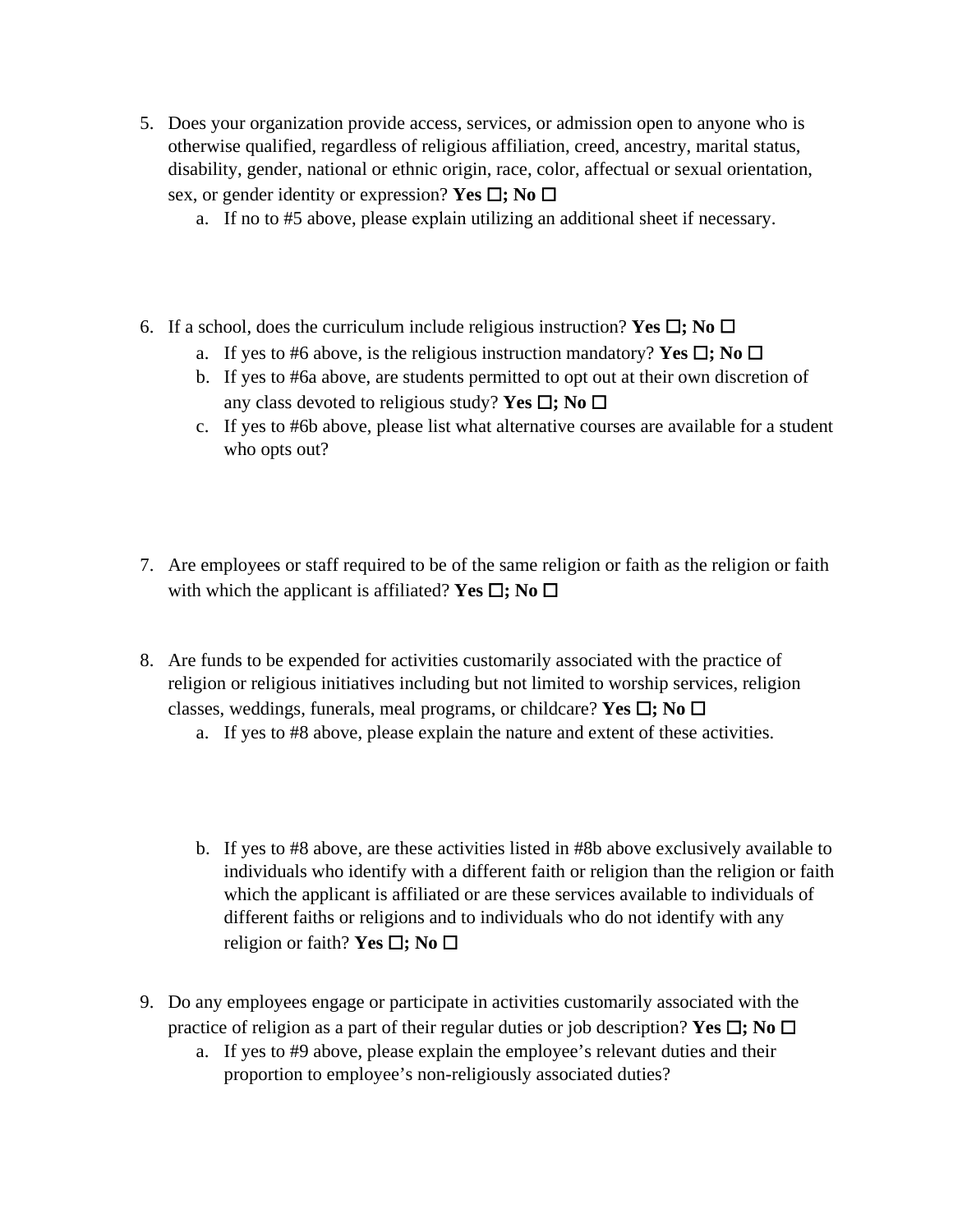- 5. Does your organization provide access, services, or admission open to anyone who is otherwise qualified, regardless of religious affiliation, creed, ancestry, marital status, disability, gender, national or ethnic origin, race, color, affectual or sexual orientation, sex, or gender identity or expression? **Yes** ☐**; No** ☐
	- a. If no to #5 above, please explain utilizing an additional sheet if necessary.
- 6. If a school, does the curriculum include religious instruction? **Yes**  $\Box$ **;** No  $\Box$ 
	- a. If yes to #6 above, is the religious instruction mandatory? **Yes** ☐**; No** ☐
	- b. If yes to #6a above, are students permitted to opt out at their own discretion of any class devoted to religious study? **Yes** ☐**; No** ☐
	- c. If yes to #6b above, please list what alternative courses are available for a student who opts out?
- 7. Are employees or staff required to be of the same religion or faith as the religion or faith with which the applicant is affiliated? **Yes** ☐**; No** ☐
- 8. Are funds to be expended for activities customarily associated with the practice of religion or religious initiatives including but not limited to worship services, religion classes, weddings, funerals, meal programs, or childcare? **Yes** ☐**; No** ☐
	- a. If yes to #8 above, please explain the nature and extent of these activities.
	- b. If yes to #8 above, are these activities listed in #8b above exclusively available to individuals who identify with a different faith or religion than the religion or faith which the applicant is affiliated or are these services available to individuals of different faiths or religions and to individuals who do not identify with any religion or faith? **Yes** ☐**; No** ☐
- 9. Do any employees engage or participate in activities customarily associated with the practice of religion as a part of their regular duties or job description? **Yes** ☐**; No** ☐
	- a. If yes to #9 above, please explain the employee's relevant duties and their proportion to employee's non-religiously associated duties?